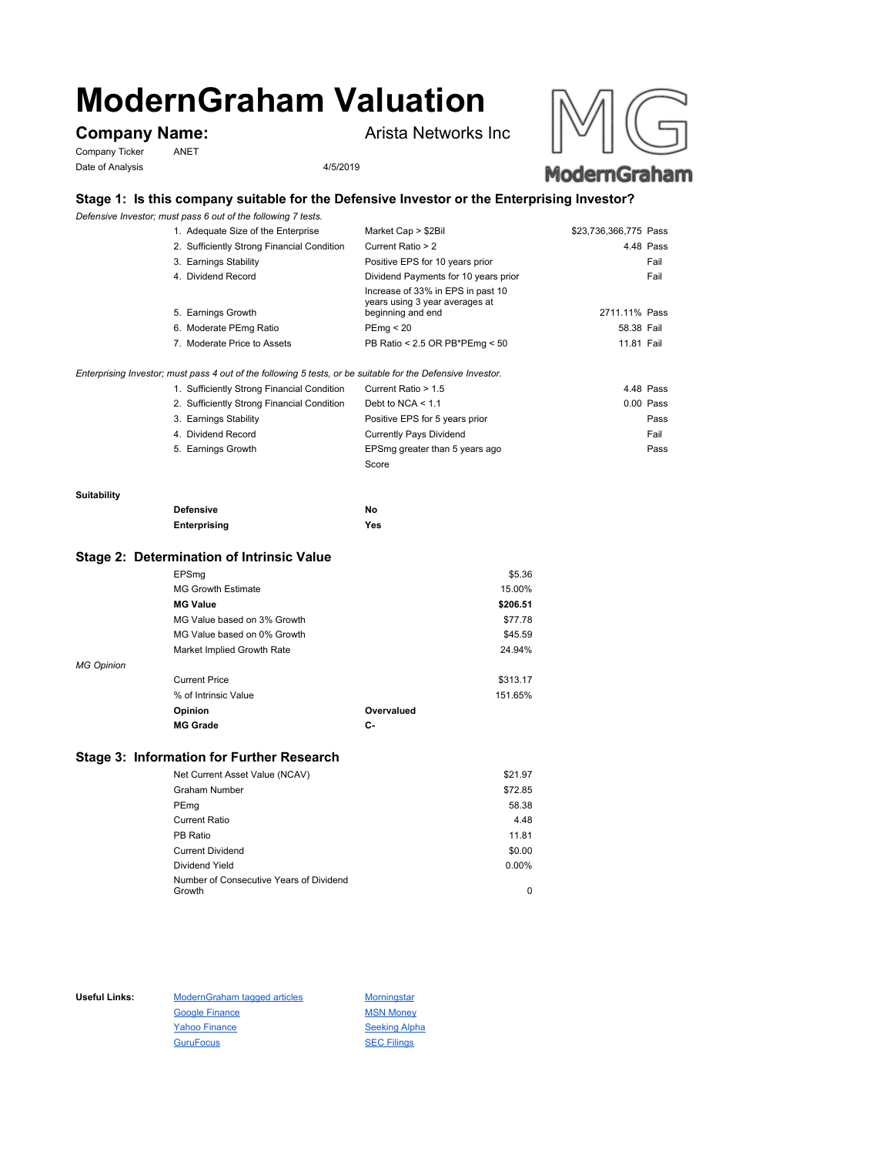# **ModernGraham Valuation**

Company Ticker ANET Date of Analysis 4/5/2019

**Company Name:** Arista Networks Inc





# **Stage 1: Is this company suitable for the Defensive Investor or the Enterprising Investor?**

*Defensive Investor; must pass 6 out of the following 7 tests.*

| 1. Adequate Size of the Enterprise         | Market Cap > \$2Bil                                                                      | \$23,736,366,775 Pass |
|--------------------------------------------|------------------------------------------------------------------------------------------|-----------------------|
| 2. Sufficiently Strong Financial Condition | Current Ratio > 2                                                                        | 4.48 Pass             |
| 3. Earnings Stability                      | Positive EPS for 10 years prior                                                          | Fail                  |
| 4. Dividend Record                         | Dividend Payments for 10 years prior                                                     | Fail                  |
| 5. Earnings Growth                         | Increase of 33% in EPS in past 10<br>years using 3 year averages at<br>beginning and end | 2711.11% Pass         |
| 6. Moderate PEmg Ratio                     | PEmg < 20                                                                                | 58.38 Fail            |
| 7. Moderate Price to Assets                | PB Ratio < 2.5 OR PB*PEmg < 50                                                           | 11.81 Fail            |
|                                            |                                                                                          |                       |

## *Enterprising Investor; must pass 4 out of the following 5 tests, or be suitable for the Defensive Investor.*

| 1. Sufficiently Strong Financial Condition | Current Ratio > 1.5            | 4.48 Pass   |
|--------------------------------------------|--------------------------------|-------------|
| 2. Sufficiently Strong Financial Condition | Debt to NCA $<$ 1.1            | $0.00$ Pass |
| 3. Earnings Stability                      | Positive EPS for 5 years prior | Pass        |
| 4. Dividend Record                         | <b>Currently Pays Dividend</b> | Fail        |
| 5. Earnings Growth                         | EPSmg greater than 5 years ago | Pass        |
|                                            | Score                          |             |

#### **Suitability**

| <b>Defensive</b> | Νo  |
|------------------|-----|
| Enterprising     | Yes |

# **Stage 2: Determination of Intrinsic Value**

|                   | EPSmg                       |            | \$5.36   |
|-------------------|-----------------------------|------------|----------|
|                   | <b>MG Growth Estimate</b>   |            | 15.00%   |
|                   | <b>MG Value</b>             |            | \$206.51 |
|                   | MG Value based on 3% Growth |            | \$77.78  |
|                   | MG Value based on 0% Growth |            | \$45.59  |
|                   | Market Implied Growth Rate  |            | 24.94%   |
| <b>MG Opinion</b> |                             |            |          |
|                   | <b>Current Price</b>        |            | \$313.17 |
|                   | % of Intrinsic Value        |            | 151.65%  |
|                   | Opinion                     | Overvalued |          |
|                   | <b>MG Grade</b>             | С-         |          |
|                   |                             |            |          |

# **Stage 3: Information for Further Research**

| Net Current Asset Value (NCAV)          | \$21.97  |
|-----------------------------------------|----------|
| Graham Number                           | \$72.85  |
| PEmg                                    | 58.38    |
| Current Ratio                           | 4.48     |
| PB Ratio                                | 11.81    |
| <b>Current Dividend</b>                 | \$0.00   |
| Dividend Yield                          | $0.00\%$ |
| Number of Consecutive Years of Dividend |          |
| Growth                                  | 0        |

Useful Links: ModernGraham tagged articles Morningstar Google Finance MSN Money Yahoo Finance Seeking Alpha GuruFocus SEC Filings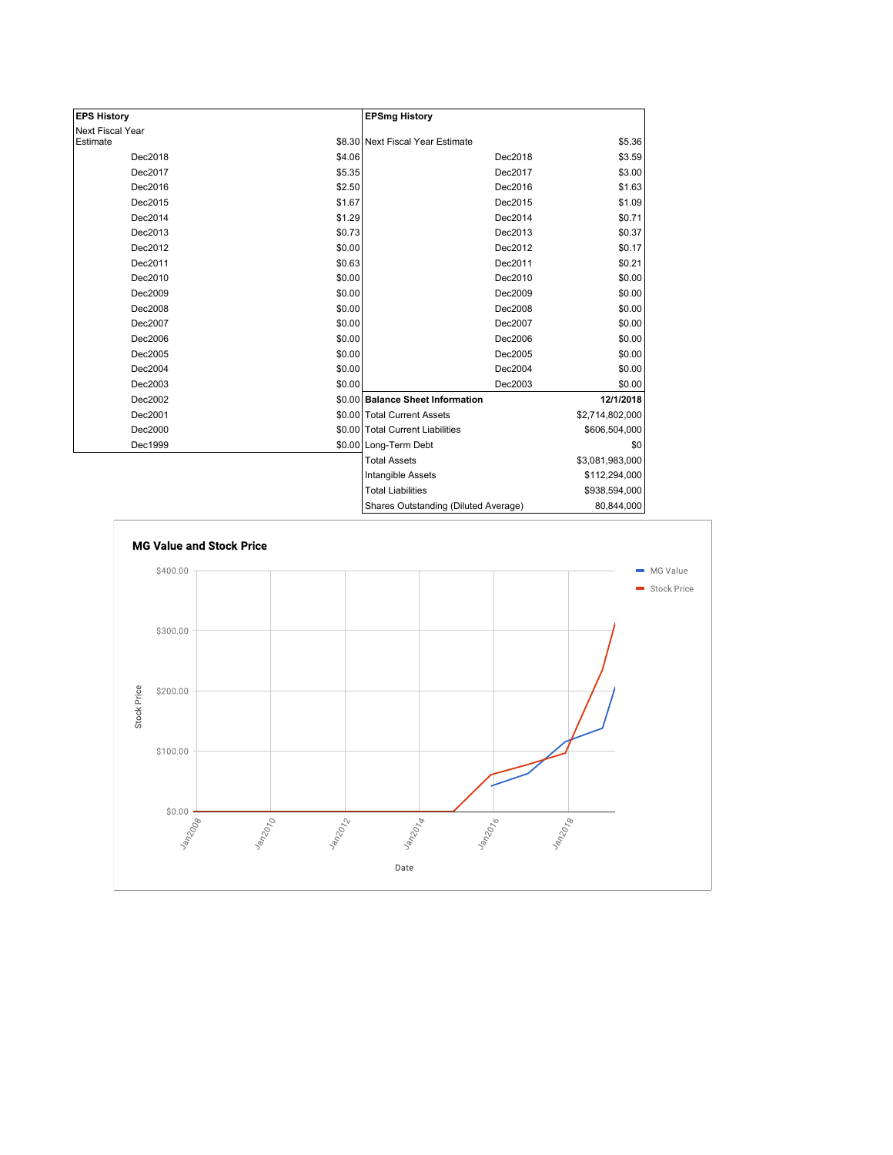| <b>EPS History</b> |        | <b>EPSmg History</b>                 |                   |
|--------------------|--------|--------------------------------------|-------------------|
| Next Fiscal Year   |        |                                      |                   |
| Estimate           |        | \$8.30 Next Fiscal Year Estimate     | \$5.36            |
| Dec2018            | \$4.06 | Dec2018                              | \$3.59            |
| Dec2017            | \$5.35 | Dec2017                              | \$3.00            |
| Dec2016            | \$2.50 | Dec2016                              | \$1.63            |
| Dec2015            | \$1.67 | Dec2015                              | \$1.09            |
| Dec2014            | \$1.29 | Dec2014                              | \$0.71            |
| Dec2013            | \$0.73 | Dec2013                              | \$0.37            |
| Dec2012            | \$0.00 | Dec2012                              | \$0.17            |
| Dec2011            | \$0.63 | Dec2011                              | \$0.21            |
| Dec2010            | \$0.00 | Dec2010                              | \$0.00            |
| Dec2009            | \$0.00 | Dec2009                              | \$0.00            |
| Dec2008            | \$0.00 | Dec2008                              | \$0.00            |
| Dec2007            | \$0.00 | Dec2007                              | \$0.00            |
| Dec2006            | \$0.00 | Dec2006                              | \$0.00            |
| Dec2005            | \$0.00 | Dec2005                              | \$0.00            |
| Dec2004            | \$0.00 | Dec2004                              | \$0.00            |
| Dec2003            | \$0.00 | Dec2003                              | \$0.00            |
| Dec2002            |        | \$0.00 Balance Sheet Information     | 12/1/2018         |
| Dec2001            |        | \$0.00 Total Current Assets          | \$2,714,802,000   |
| Dec2000            |        | \$0.00 Total Current Liabilities     | \$606,504,000     |
| Dec1999            |        | \$0.00 Long-Term Debt                | \$0               |
|                    |        | <b>Total Assets</b>                  | \$3,081,983,000   |
|                    |        | Intangible Assets                    | \$112,294,000     |
|                    |        | <b>Total Liabilities</b>             | \$938,594,000     |
|                    |        | Charge Outetanding (Diluted Average) | <b>80.844.000</b> |